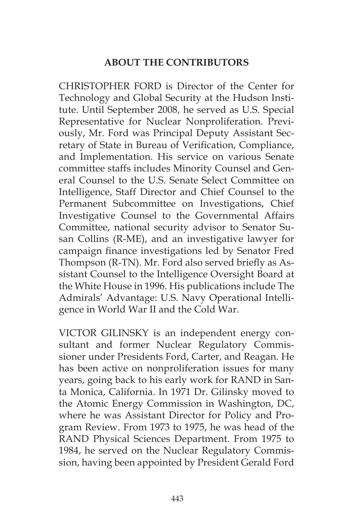## **ABOUT THE CONTRIBUTORS**

CHRISTOPHER FORD is Director of the Center for Technology and Global Security at the Hudson Institute. Until September 2008, he served as U.S. Special Representative for Nuclear Nonproliferation. Previously, Mr. Ford was Principal Deputy Assistant Secretary of State in Bureau of Verification, Compliance, and Implementation. His service on various Senate committee staffs includes Minority Counsel and General Counsel to the U.S. Senate Select Committee on Intelligence, Staff Director and Chief Counsel to the Permanent Subcommittee on Investigations, Chief Investigative Counsel to the Governmental Affairs Committee, national security advisor to Senator Susan Collins (R-ME), and an investigative lawyer for campaign finance investigations led by Senator Fred Thompson (R-TN). Mr. Ford also served briefly as Assistant Counsel to the Intelligence Oversight Board at the White House in 1996. His publications include The Admirals' Advantage: U.S. Navy Operational Intelligence in World War II and the Cold War.

VICTOR GILINSKY is an independent energy consultant and former Nuclear Regulatory Commissioner under Presidents Ford, Carter, and Reagan. He has been active on nonproliferation issues for many years, going back to his early work for RAND in Santa Monica, California. In 1971 Dr. Gilinsky moved to the Atomic Energy Commission in Washington, DC, where he was Assistant Director for Policy and Program Review. From 1973 to 1975, he was head of the RAND Physical Sciences Department. From 1975 to 1984, he served on the Nuclear Regulatory Commission, having been appointed by President Gerald Ford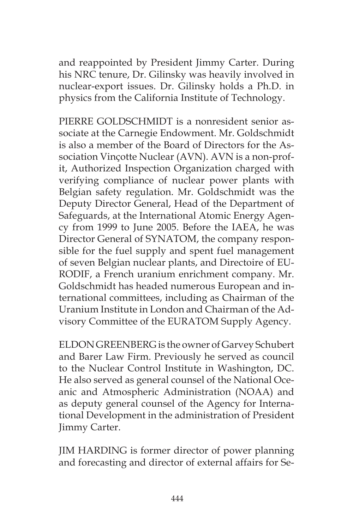and reappointed by President Jimmy Carter. During his NRC tenure, Dr. Gilinsky was heavily involved in nuclear-export issues. Dr. Gilinsky holds a Ph.D. in physics from the California Institute of Technology.

PIERRE GOLDSCHMIDT is a nonresident senior associate at the Carnegie Endowment. Mr. Goldschmidt is also a member of the Board of Directors for the Association Vinçotte Nuclear (AVN). AVN is a non-profit, Authorized Inspection Organization charged with verifying compliance of nuclear power plants with Belgian safety regulation. Mr. Goldschmidt was the Deputy Director General, Head of the Department of Safeguards, at the International Atomic Energy Agency from 1999 to June 2005. Before the IAEA, he was Director General of SYNATOM, the company responsible for the fuel supply and spent fuel management of seven Belgian nuclear plants, and Directoire of EU-RODIF, a French uranium enrichment company. Mr. Goldschmidt has headed numerous European and international committees, including as Chairman of the Uranium Institute in London and Chairman of the Advisory Committee of the EURATOM Supply Agency.

ELDON GREENBERG is the owner of Garvey Schubert and Barer Law Firm. Previously he served as council to the Nuclear Control Institute in Washington, DC. He also served as general counsel of the National Oceanic and Atmospheric Administration (NOAA) and as deputy general counsel of the Agency for International Development in the administration of President Jimmy Carter.

JIM HARDING is former director of power planning and forecasting and director of external affairs for Se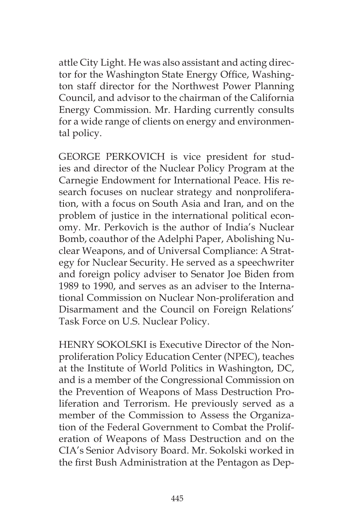attle City Light. He was also assistant and acting director for the Washington State Energy Office, Washington staff director for the Northwest Power Planning Council, and advisor to the chairman of the California Energy Commission. Mr. Harding currently consults for a wide range of clients on energy and environmental policy.

GEORGE PERKOVICH is vice president for studies and director of the Nuclear Policy Program at the Carnegie Endowment for International Peace. His research focuses on nuclear strategy and nonproliferation, with a focus on South Asia and Iran, and on the problem of justice in the international political economy. Mr. Perkovich is the author of India's Nuclear Bomb, coauthor of the Adelphi Paper, Abolishing Nuclear Weapons, and of Universal Compliance: A Strategy for Nuclear Security. He served as a speechwriter and foreign policy adviser to Senator Joe Biden from 1989 to 1990, and serves as an adviser to the International Commission on Nuclear Non-proliferation and Disarmament and the Council on Foreign Relations' Task Force on U.S. Nuclear Policy.

HENRY SOKOLSKI is Executive Director of the Nonproliferation Policy Education Center (NPEC), teaches at the Institute of World Politics in Washington, DC, and is a member of the Congressional Commission on the Prevention of Weapons of Mass Destruction Proliferation and Terrorism. He previously served as a member of the Commission to Assess the Organization of the Federal Government to Combat the Proliferation of Weapons of Mass Destruction and on the CIA's Senior Advisory Board. Mr. Sokolski worked in the first Bush Administration at the Pentagon as Dep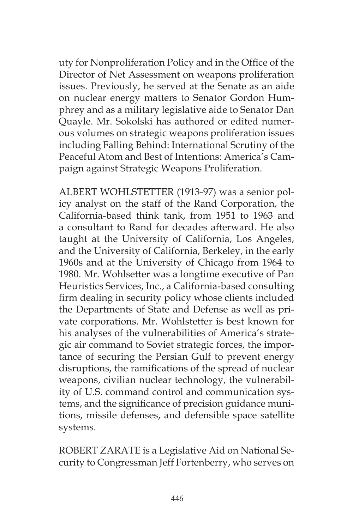uty for Nonproliferation Policy and in the Office of the Director of Net Assessment on weapons proliferation issues. Previously, he served at the Senate as an aide on nuclear energy matters to Senator Gordon Humphrey and as a military legislative aide to Senator Dan Quayle. Mr. Sokolski has authored or edited numerous volumes on strategic weapons proliferation issues including Falling Behind: International Scrutiny of the Peaceful Atom and Best of Intentions: America's Campaign against Strategic Weapons Proliferation.

ALBERT WOHLSTETTER (1913-97) was a senior policy analyst on the staff of the Rand Corporation, the California-based think tank, from 1951 to 1963 and a consultant to Rand for decades afterward. He also taught at the University of California, Los Angeles, and the University of California, Berkeley, in the early 1960s and at the University of Chicago from 1964 to 1980. Mr. Wohlsetter was a longtime executive of Pan Heuristics Services, Inc., a California-based consulting firm dealing in security policy whose clients included the Departments of State and Defense as well as private corporations. Mr. Wohlstetter is best known for his analyses of the vulnerabilities of America's strategic air command to Soviet strategic forces, the importance of securing the Persian Gulf to prevent energy disruptions, the ramifications of the spread of nuclear weapons, civilian nuclear technology, the vulnerability of U.S. command control and communication systems, and the significance of precision guidance munitions, missile defenses, and defensible space satellite systems.

ROBERT ZARATE is a Legislative Aid on National Security to Congressman Jeff Fortenberry, who serves on